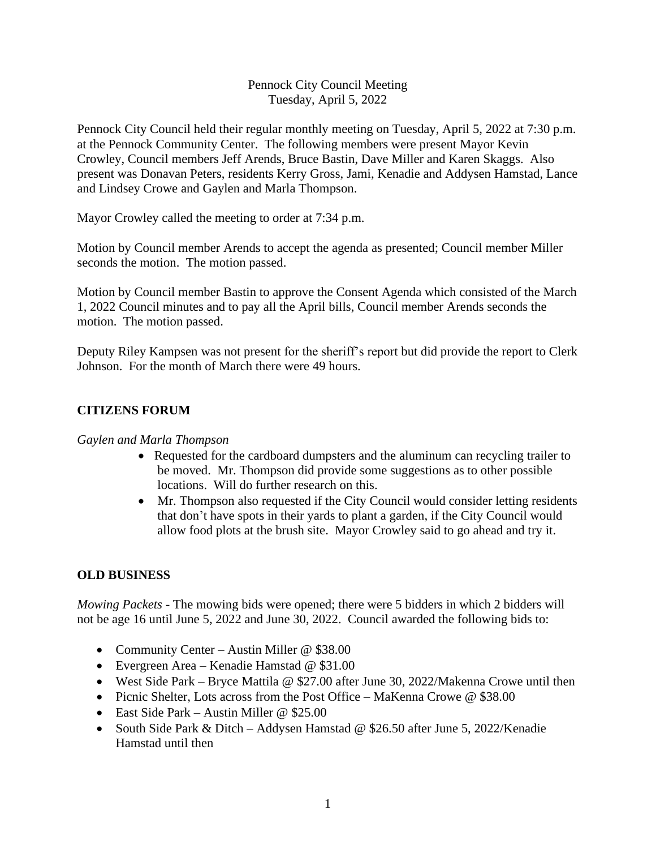#### Pennock City Council Meeting Tuesday, April 5, 2022

Pennock City Council held their regular monthly meeting on Tuesday, April 5, 2022 at 7:30 p.m. at the Pennock Community Center. The following members were present Mayor Kevin Crowley, Council members Jeff Arends, Bruce Bastin, Dave Miller and Karen Skaggs. Also present was Donavan Peters, residents Kerry Gross, Jami, Kenadie and Addysen Hamstad, Lance and Lindsey Crowe and Gaylen and Marla Thompson.

Mayor Crowley called the meeting to order at 7:34 p.m.

Motion by Council member Arends to accept the agenda as presented; Council member Miller seconds the motion. The motion passed.

Motion by Council member Bastin to approve the Consent Agenda which consisted of the March 1, 2022 Council minutes and to pay all the April bills, Council member Arends seconds the motion. The motion passed.

Deputy Riley Kampsen was not present for the sheriff's report but did provide the report to Clerk Johnson. For the month of March there were 49 hours.

# **CITIZENS FORUM**

## *Gaylen and Marla Thompson*

- Requested for the cardboard dumpsters and the aluminum can recycling trailer to be moved. Mr. Thompson did provide some suggestions as to other possible locations. Will do further research on this.
- Mr. Thompson also requested if the City Council would consider letting residents that don't have spots in their yards to plant a garden, if the City Council would allow food plots at the brush site. Mayor Crowley said to go ahead and try it.

## **OLD BUSINESS**

*Mowing Packets* - The mowing bids were opened; there were 5 bidders in which 2 bidders will not be age 16 until June 5, 2022 and June 30, 2022. Council awarded the following bids to:

- Community Center Austin Miller @ \$38.00
- Evergreen Area Kenadie Hamstad @ \$31.00
- West Side Park Bryce Mattila @ \$27.00 after June 30, 2022/Makenna Crowe until then
- Picnic Shelter, Lots across from the Post Office MaKenna Crowe @ \$38.00
- East Side Park Austin Miller @ \$25.00
- South Side Park & Ditch Addysen Hamstad @ \$26.50 after June 5, 2022/Kenadie Hamstad until then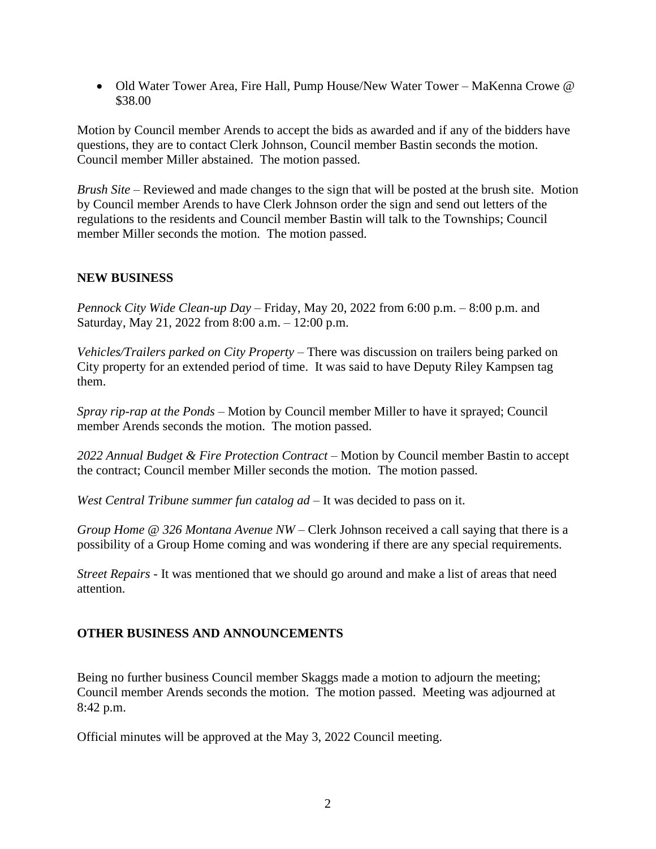• Old Water Tower Area, Fire Hall, Pump House/New Water Tower – MaKenna Crowe @ \$38.00

Motion by Council member Arends to accept the bids as awarded and if any of the bidders have questions, they are to contact Clerk Johnson, Council member Bastin seconds the motion. Council member Miller abstained. The motion passed.

*Brush Site –* Reviewed and made changes to the sign that will be posted at the brush site. Motion by Council member Arends to have Clerk Johnson order the sign and send out letters of the regulations to the residents and Council member Bastin will talk to the Townships; Council member Miller seconds the motion. The motion passed.

#### **NEW BUSINESS**

*Pennock City Wide Clean-up Day* – Friday, May 20, 2022 from 6:00 p.m. – 8:00 p.m. and Saturday, May 21, 2022 from 8:00 a.m. – 12:00 p.m.

*Vehicles/Trailers parked on City Property* – There was discussion on trailers being parked on City property for an extended period of time. It was said to have Deputy Riley Kampsen tag them.

*Spray rip-rap at the Ponds –* Motion by Council member Miller to have it sprayed; Council member Arends seconds the motion. The motion passed.

*2022 Annual Budget & Fire Protection Contract* – Motion by Council member Bastin to accept the contract; Council member Miller seconds the motion. The motion passed.

*West Central Tribune summer fun catalog ad –* It was decided to pass on it.

*Group Home @ 326 Montana Avenue NW –* Clerk Johnson received a call saying that there is a possibility of a Group Home coming and was wondering if there are any special requirements.

*Street Repairs -* It was mentioned that we should go around and make a list of areas that need attention.

## **OTHER BUSINESS AND ANNOUNCEMENTS**

Being no further business Council member Skaggs made a motion to adjourn the meeting; Council member Arends seconds the motion. The motion passed. Meeting was adjourned at 8:42 p.m.

Official minutes will be approved at the May 3, 2022 Council meeting.